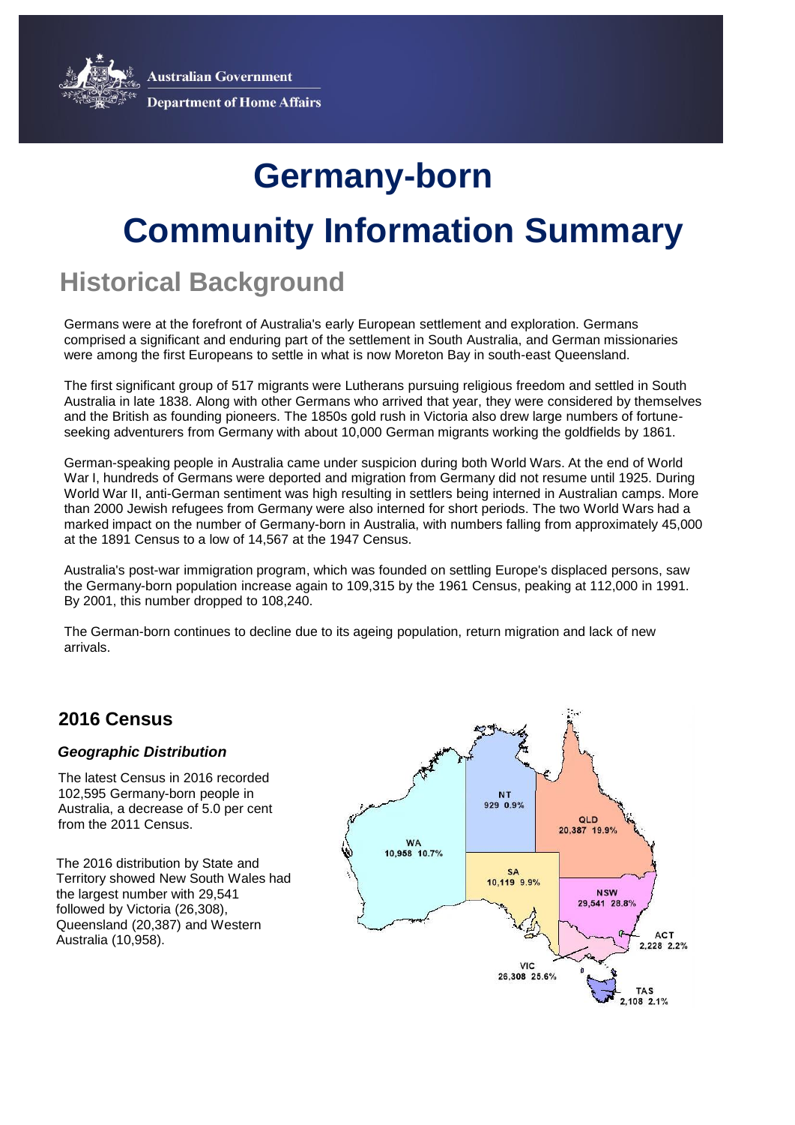**Australian Government** 



**Department of Home Affairs** 

# **Community Information Summary Germany-born**

## **Historical Background**

Germans were at the forefront of Australia's early European settlement and exploration. Germans comprised a significant and enduring part of the settlement in South Australia, and German missionaries were among the first Europeans to settle in what is now Moreton Bay in south-east Queensland.

The first significant group of 517 migrants were Lutherans pursuing religious freedom and settled in South Australia in late 1838. Along with other Germans who arrived that year, they were considered by themselves and the British as founding pioneers. The 1850s gold rush in Victoria also drew large numbers of fortuneseeking adventurers from Germany with about 10,000 German migrants working the goldfields by 1861.

German-speaking people in Australia came under suspicion during both World Wars. At the end of World War I, hundreds of Germans were deported and migration from Germany did not resume until 1925. During World War II, anti-German sentiment was high resulting in settlers being interned in Australian camps. More than 2000 Jewish refugees from Germany were also interned for short periods. The two World Wars had a marked impact on the number of Germany-born in Australia, with numbers falling from approximately 45,000 at the 1891 Census to a low of 14,567 at the 1947 Census.

Australia's post-war immigration program, which was founded on settling Europe's displaced persons, saw the Germany-born population increase again to 109,315 by the 1961 Census, peaking at 112,000 in 1991. By 2001, this number dropped to 108,240.

The German-born continues to decline due to its ageing population, return migration and lack of new arrivals.

### **2016 Census**

#### *Geographic Distribution*

The latest Census in 2016 recorded 102,595 Germany-born people in Australia, a decrease of 5.0 per cent from the 2011 Census.

The 2016 distribution by State and Territory showed New South Wales had the largest number with 29,541 followed by Victoria (26,308), Queensland (20,387) and Western Australia (10,958).

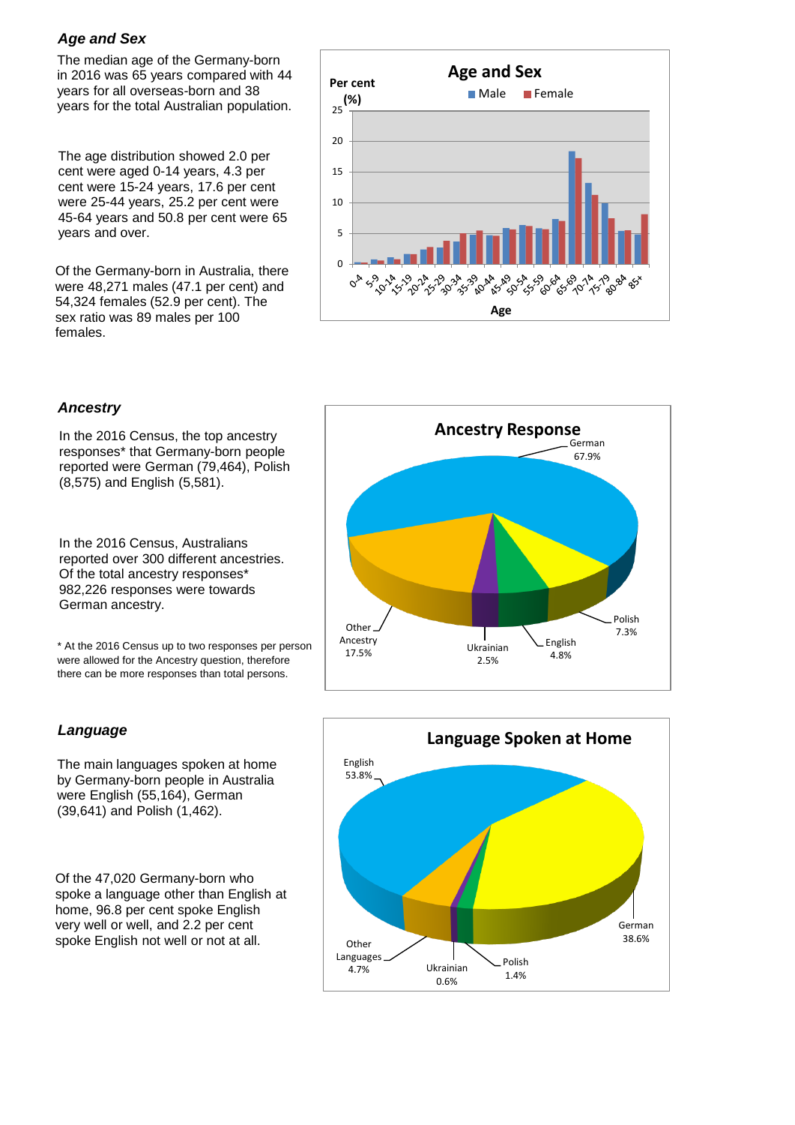#### *Age and Sex*

The median age of the Germany-born in 2016 was 65 years compared with 44 years for all overseas-born and 38 years for the total Australian population.

The age distribution showed 2.0 per cent were aged 0-14 years, 4.3 per cent were 15-24 years, 17.6 per cent were 25-44 years, 25.2 per cent were 45-64 years and 50.8 per cent were 65 years and over.

Of the Germany-born in Australia, there were 48,271 males (47.1 per cent) and 54,324 females (52.9 per cent). The sex ratio was 89 males per 100 females.



#### *Ancestry*

In the 2016 Census, the top ancestry responses\* that Germany-born people reported were German (79,464), Polish (8,575) and English (5,581).

In the 2016 Census, Australians reported over 300 different ancestries. Of the total ancestry responses\* 982,226 responses were towards German ancestry.

\* At the 2016 Census up to two responses per person were allowed for the Ancestry question, therefore there can be more responses than total persons.



The main languages spoken at home by Germany-born people in Australia were English (55,164), German (39,641) and Polish (1,462).

Of the 47,020 Germany-born who spoke a language other than English at home, 96.8 per cent spoke English very well or well, and 2.2 per cent spoke English not well or not at all.



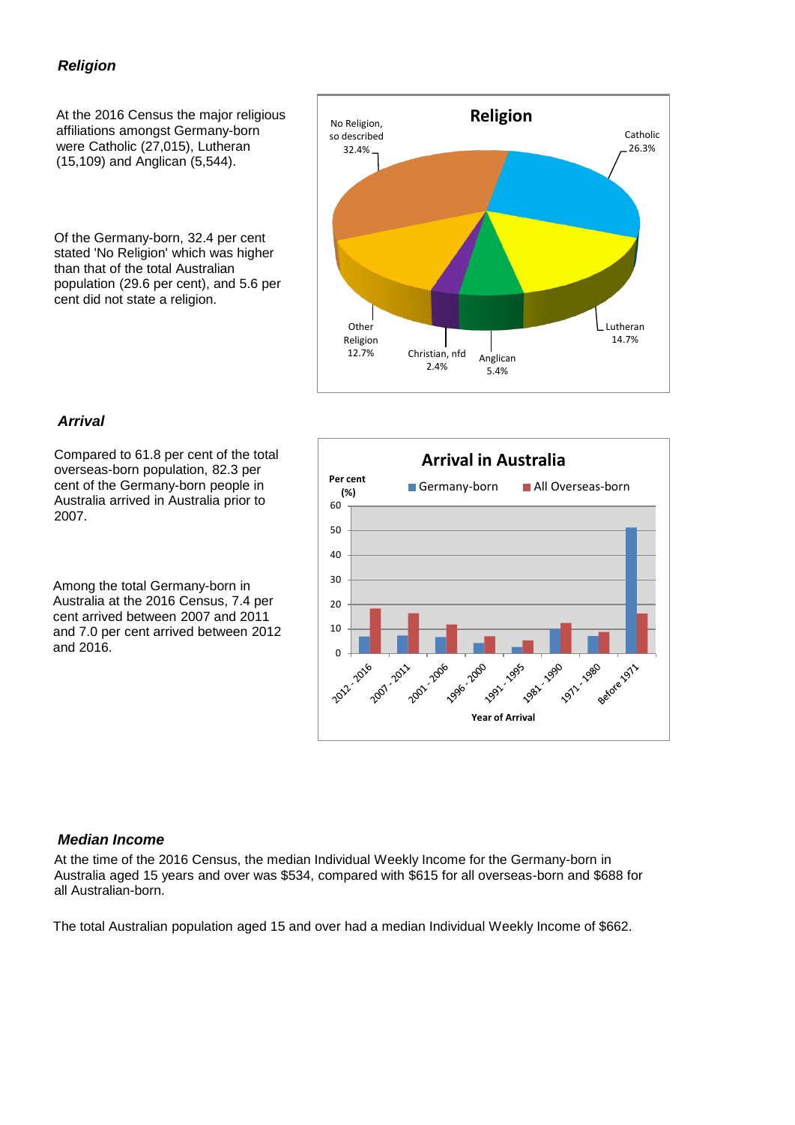#### *Religion*

At the 2016 Census the major religious affiliations amongst Germany-born were Catholic (27,015), Lutheran (15,109) and Anglican (5,544).

Of the Germany-born, 32.4 per cent stated 'No Religion' which was higher than that of the total Australian population (29.6 per cent), and 5.6 per cent did not state a religion.



#### *Arrival*

Compared to 61.8 per cent of the total overseas-born population, 82.3 per cent of the Germany-born people in Australia arrived in Australia prior to 2007.

Among the total Germany-born in Australia at the 2016 Census, 7.4 per cent arrived between 2007 and 2011 and 7.0 per cent arrived between 2012 and 2016.



#### *Median Income*

At the time of the 2016 Census, the median Individual Weekly Income for the Germany-born in Australia aged 15 years and over was \$534, compared with \$615 for all overseas-born and \$688 for all Australian-born.

The total Australian population aged 15 and over had a median Individual Weekly Income of \$662.